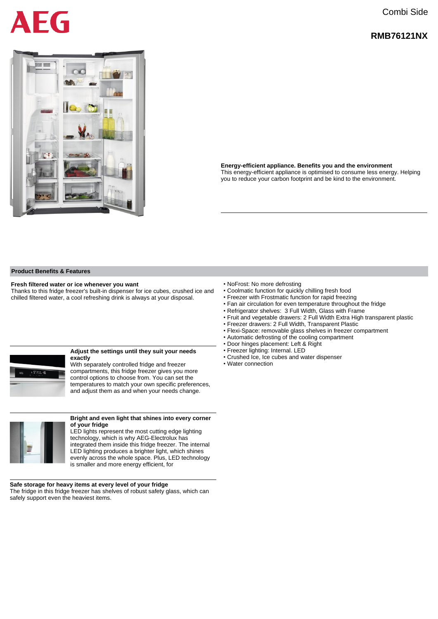## Combi Side

### **RMB76121NX**



FG

**Energy-efficient appliance. Benefits you and the environment** This energy-efficient appliance is optimised to consume less energy. Helping you to reduce your carbon footprint and be kind to the environment.

#### **Product Benefits & Features**

#### **Fresh filtered water or ice whenever you want**

Thanks to this fridge freezer's built-in dispenser for ice cubes, crushed ice and chilled filtered water, a cool refreshing drink is always at your disposal.

#### **Adjust the settings until they suit your needs exactly**

With separately controlled fridge and freezer compartments, this fridge freezer gives you more control options to choose from. You can set the temperatures to match your own specific preferences, and adjust them as and when your needs change.



#### **Bright and even light that shines into every corner of your fridge**

LED lights represent the most cutting edge lighting technology, which is why AEG-Electrolux has integrated them inside this fridge freezer. The internal LED lighting produces a brighter light, which shines evenly across the whole space. Plus, LED technology is smaller and more energy efficient, for

**Safe storage for heavy items at every level of your fridge** The fridge in this fridge freezer has shelves of robust safety glass, which can safely support even the heaviest items.

- NoFrost: No more defrosting
- Coolmatic function for quickly chilling fresh food
- Freezer with Frostmatic function for rapid freezing
- Fan air circulation for even temperature throughout the fridge
- Refrigerator shelves: 3 Full Width, Glass with Frame
- Fruit and vegetable drawers: 2 Full Width Extra High transparent plastic
- Freezer drawers: 2 Full Width, Transparent Plastic
- Flexi-Space: removable glass shelves in freezer compartment
- Automatic defrosting of the cooling compartment
- Door hinges placement: Left & Right
- Freezer lighting: Internal. LED
- Crushed Ice, Ice cubes and water dispenser
- Water connection